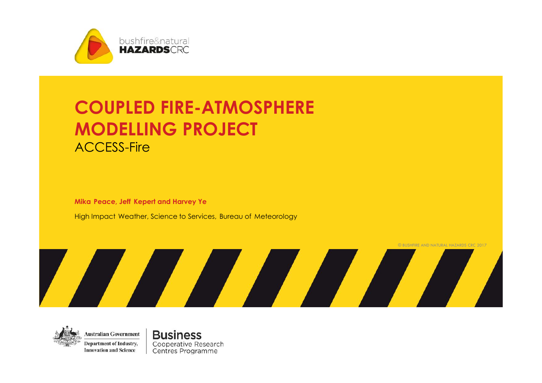

# **COUPLED FIRE-ATMOSPHERE MODELLING PROJECT** ACCESS-Fire

**Mika Peace, Jeff Kepert and Harvey Ye**

High Impact Weather, Science to Services, Bureau of Meteorology





**Business** Cooperative Research Centres Programme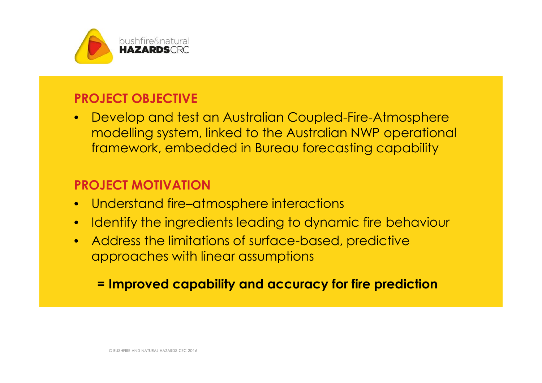

## **PROJECT OBJECTIVE**

• Develop and test an Australian Coupled-Fire-Atmosphere modelling system, linked to the Australian NWP operational framework, embedded in Bureau forecasting capability

# **PROJECT MOTIVATION**

- Understand fire–atmosphere interactions
- Identify the ingredients leading to dynamic fire behaviour
- Address the limitations of surface-based, predictive approaches with linear assumptions

## **= Improved capability and accuracy for fire prediction**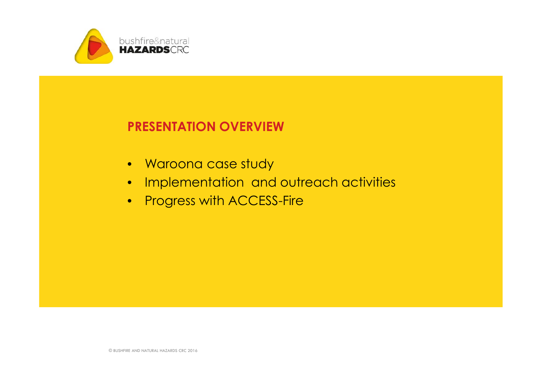

## **PRESENTATION OVERVIEW**

- Waroona case study
- Implementation and outreach activities
- Progress with ACCESS-Fire

© BUSHFIRE AND NATURAL HAZARDS CRC 2016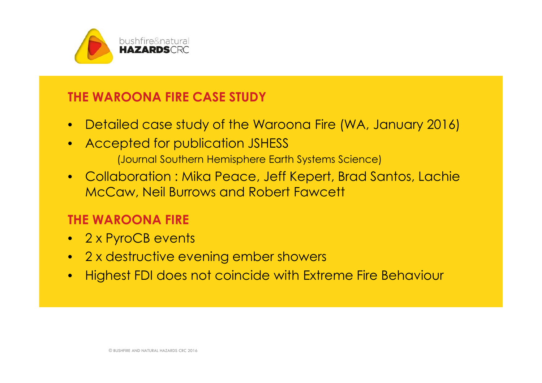

## **THE WAROONA FIRE CASE STUDY**

- Detailed case study of the Waroona Fire (WA, January 2016)
- Accepted for publication JSHESS (Journal Southern Hemisphere Earth Systems Science)
- Collaboration : Mika Peace, Jeff Kepert, Brad Santos, Lachie McCaw, Neil Burrows and Robert Fawcett

## **THE WAROONA FIRE**

- 2 x PyroCB events
- 2 x destructive evening ember showers
- Highest FDI does not coincide with Extreme Fire Behaviour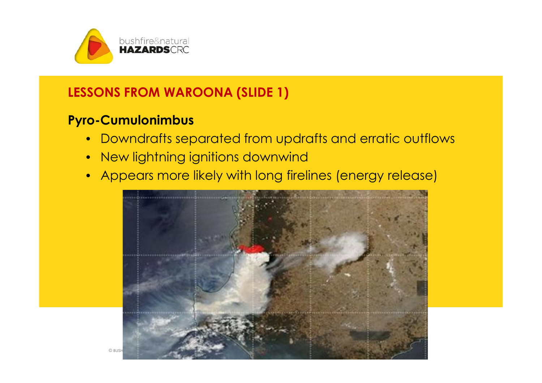

## **LESSONS FROM WAROONA (SLIDE 1)**

## **Pyro-Cumulonimbus**

- Downdrafts separated from updrafts and erratic outflows
- New lightning ignitions downwind
- Appears more likely with long firelines (energy release)

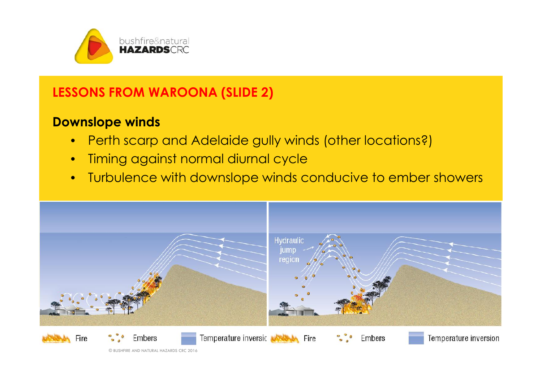

# **LESSONS FROM WAROONA (SLIDE 2)**

# **Downslope winds**

- Perth scarp and Adelaide gully winds (other locations?)
- Timing against normal diurnal cycle
- Turbulence with downslope winds conducive to ember showers

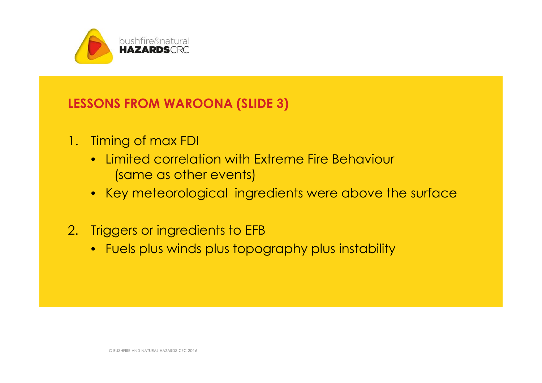

## **LESSONS FROM WAROONA (SLIDE 3)**

- 1. Timing of max FDI
	- Limited correlation with Extreme Fire Behaviour (same as other events)
	- Key meteorological ingredients were above the surface
- 2. Triggers or ingredients to EFB
	- Fuels plus winds plus topography plus instability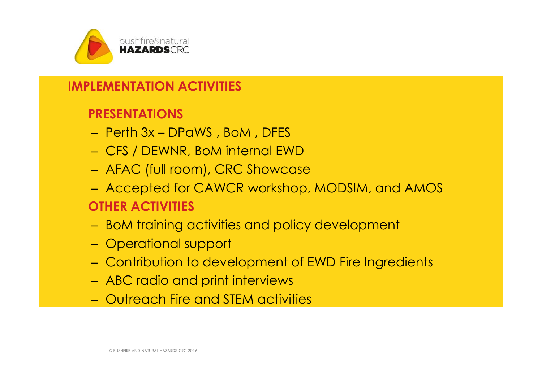

## **IMPLEMENTATION ACTIVITIES**

## **PRESENTATIONS**

- Perth 3x DPaWS , BoM , DFES
- CFS / DEWNR, BoM internal EWD
- AFAC (full room), CRC Showcase
- Accepted for CAWCR workshop, MODSIM, and AMOS **OTHER ACTIVITIES**
- BoM training activities and policy development
- Operational support
- Contribution to development of EWD Fire Ingredients
- ABC radio and print interviews
- Outreach Fire and STEM activities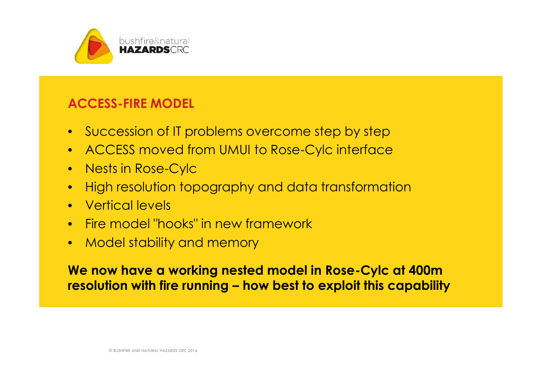

#### **ACCESS-FIRE MODEL**

- Succession of IT problems overcome step by step
- ACCESS moved from UMUI to Rose-Cylc interface
- Nests in Rose-Cylc
- High resolution topography and data transformation
- Vertical levels
- Fire model "hooks" in new framework
- Model stability and memory

**We now have a working nested model in Rose-Cylc at 400m resolution with fire running – how best to exploit this capability**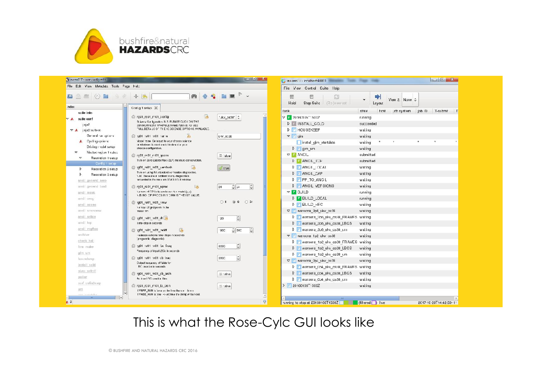

| $\circ$ $\circ$<br><b>E</b><br>西<br>Abe<br>ndex                                                                                                                                      | $+1$<br>舶<br>高                                                                                                                                                                                                                                                                                                           |                                                                                       | 冊<br>Hold<br>Stop Suitc<br>(Rejoennoot                                                                                                                                                                                                 | $\check{ }$<br>Layou:                                                     | View 2. None C |                  |          |    |
|--------------------------------------------------------------------------------------------------------------------------------------------------------------------------------------|--------------------------------------------------------------------------------------------------------------------------------------------------------------------------------------------------------------------------------------------------------------------------------------------------------------------------|---------------------------------------------------------------------------------------|----------------------------------------------------------------------------------------------------------------------------------------------------------------------------------------------------------------------------------------|---------------------------------------------------------------------------|----------------|------------------|----------|----|
| suite into                                                                                                                                                                           | Contig 1 setup X                                                                                                                                                                                                                                                                                                         |                                                                                       | task                                                                                                                                                                                                                                   | state<br>host                                                             | ch system      | iob <sub>D</sub> | T-submit | ΙT |
| $\nabla$ A suite conf<br>j nja2<br>▽ ▲ jnja2:sute rc                                                                                                                                 | TH,<br>rg01_rs01_m01_config<br>Science Configuration, N.E. PLEASE CLICK ON THE<br>ENVIRONMENT VARIABLE NAME ABOVE TO SEE<br>TULL DETAILS OF THE 15 BOIENCE OPTIONS AVAILABLE.                                                                                                                                            | "ukv_ps38" C                                                                          | ▽ 2016010571500Z<br>D INSTALL COLD<br><b>D F</b> HOUSEKEEP                                                                                                                                                                             | running<br>succeeded<br>wai.ing                                           |                |                  |          |    |
| General run options<br>Cycling options<br>Driving model setup<br>Nested region 1 setup<br>v<br>Resolution 1 setup<br>$\overline{\mathbf{v}}$<br>Config 1 setup<br>Resolution 2 setup | 2 ru01 s01 m01 name<br>Model hame. Get equal to your chosen science<br>or whatever is most useful krokecrice your<br>chosen configuration.<br>m01 rs01 m01 gcons<br>Turn on Zero Lateral Flux (ZLF) mosture conservation.<br>$\mathbf{H}$<br>g01 rs01 m01 verstash<br>Turn on using RA standard vor feation diagnostics. | UKV_003€<br>E false<br># true                                                         | $\triangledown$ $\Gamma$ alm<br>irstal gim statdata<br>$P$ Figm um<br>$\nabla$ <b>ANCIL</b><br><b>D</b> F ANGIL TOP<br>D F ANGIL CCAL                                                                                                  | waiting<br>waiting<br>waiting<br>submitted<br>submitted<br>waiting        |                |                  |          |    |
| Resolution 3 setup<br>ancil general aero<br>ancil general land<br>ancil mask<br>ancil orog<br>ancil ozone<br>ancil smesnow                                                           | N.B. These are in addition to any diagnostics.<br>recuested in the main um STASH G. II window<br>rc01 rs01 m01 nproc<br>h<br>Number of CP. Is to use to run the model (y,x).<br>V.B. NO OF PROCSINY DIRN IS THE 1ST VALUE.<br>g01_rs01_m01_nmw<br>Number of gird points in the<br>110001 TT                              | $\frac{1}{2}$<br>$-32$<br>24<br>0.8<br>$\circ$ 9<br>O <sub>2</sub>                    | <b>DE ANGIL CAP</b><br><b>D PP</b> TO ANGL<br><b>DE ANGIL VEFSIONS</b><br>$\nabla$ <b>F</b> BUILD<br>DE BUILD LOCAL<br><b>D</b> F BUILD HPC<br>$\nabla$ waroona 3p6 ukv os38                                                           | waiting<br>wai.ing<br>wai:ing<br>running<br>running<br>waiting<br>waiting |                |                  |          |    |
| ancil sstice<br>ancil fop<br>anoii vegfrao<br>archive<br>oheck hall<br>fem make                                                                                                      | <b>C</b> x01 s01 m01 dt b<br>l'ime-step in seconds<br>@ ro01 rs01 m01 rack#<br>$16$<br>-actation scheme time-steps in accords<br>(prognostic diagnostic)<br>g01 rs01 m01 bc fraq                                                                                                                                         | $\ddot{=}$<br>120<br>$\ddot{=}$<br>$\frac{1}{2}$ 300<br>1800<br>$\frac{1}{x}$<br>3500 | D F waroona 3p6 liky os38 FRAMES waiting<br>D F waroora 306 ukv os38 LBCS<br>Maroora 356 ukv os38 um<br>$\triangledown$ $\triangledown$ warecna 1p2 ukv os38<br>F waroona 1p2 ukv os38 FRAMES waiting<br>D F waroora 1p2 ukv os38 LBCS | waiting<br>wai.ing<br>waiting<br>waiting                                  |                |                  |          |    |
| gim um<br>housekeep:<br>install cold<br>niwa neledf                                                                                                                                  | Frequency of input LECs in seconds<br>g01 s01 m01 cb free<br>Output trequency of fields for<br>BC ones to in seconds.<br>got rs01 m01 cb arch                                                                                                                                                                            | $\frac{1}{2}$<br>3500<br>d raise                                                      | P F waroona 1p2 ukv os38 um<br>$\nabla$ warocna 0p4 ukv os38<br>D F waroona 0p4 liky os38 FRAMES waiting<br>D F waroona 004 ukv os38 LBCS                                                                                              | waiting<br>waiting<br>waiting                                             |                |                  |          |    |
| poller<br>surf oslia2nwp<br>um<br>case in consultantly                                                                                                                               | Archive I BC creation fless<br>root root mot io arch<br>LEBEE BUN is buse as Archive the spricht road<br>f FREE_RUN is true -> Archive the dump write 1 out                                                                                                                                                              | 目 talse                                                                               | F waroor a 0p4 ukv os38 cm<br>> F 20160106 <sup>-1</sup> 500Z                                                                                                                                                                          | wai.ing<br>waiting                                                        |                |                  |          |    |

This is what the Rose-Cylc GUI looks like

© BUSHFIRE AND NATURAL HAZARDS CRC 2016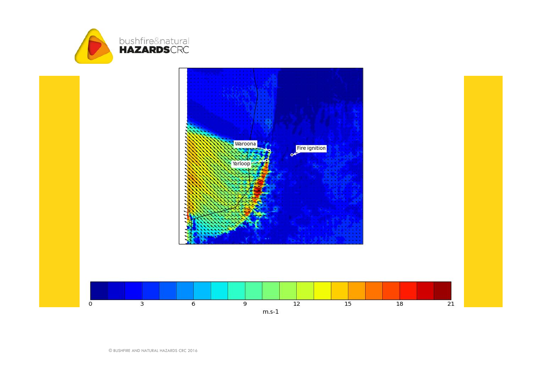

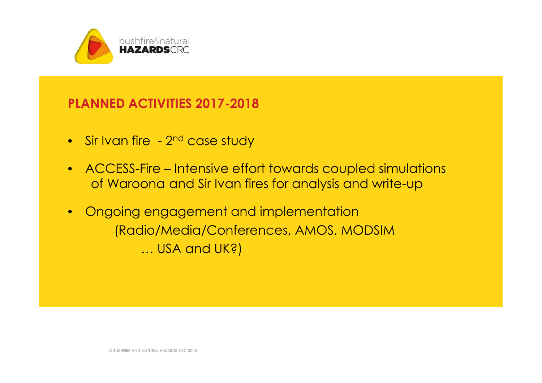

#### **PLANNED ACTIVITIES 2017-2018**

- $\bullet$  Sir Ivan fire  $\,$   $2^{\mathsf{nd}}$  case study  $\,$  . The same  $\,$
- ACCESS-Fire Intensive effort towards coupled simulations of Waroona and Sir Ivan fires for analysis and write-up
- Ongoing engagement and implementation (Radio/Media/Conferences, AMOS, MODSIM … USA and UK?)